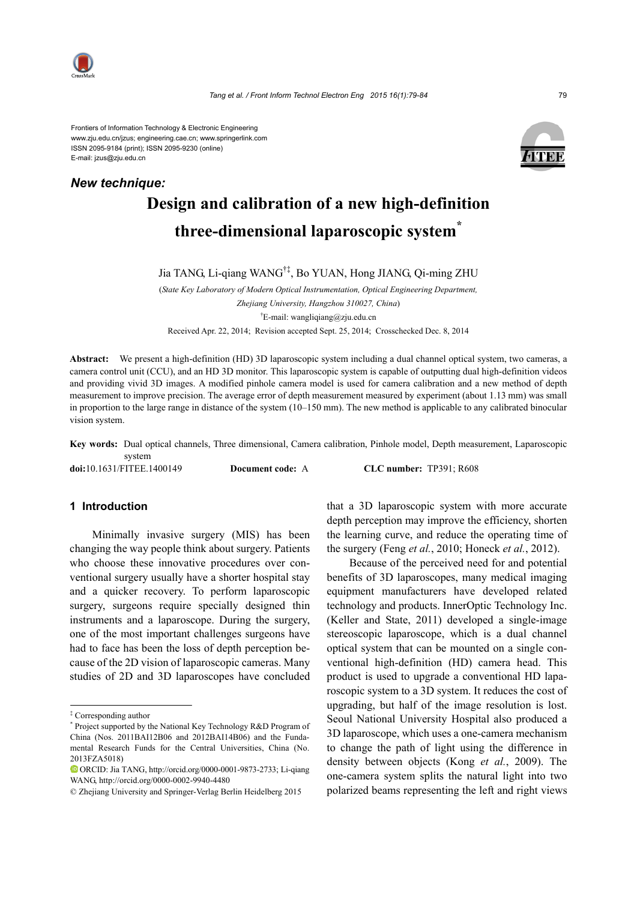

*New technique:*

Frontiers of Information Technology & Electronic Engineering www.zju.edu.cn/jzus; engineering.cae.cn; www.springerlink.com ISSN 2095-9184 (print); ISSN 2095-9230 (online) E-mail: jzus@zju.edu.cn



# **Design and calibration of a new high-definition three-dimensional laparoscopic system\***

Jia TANG, Li-qiang WANG†‡, Bo YUAN, Hong JIANG, Qi-ming ZHU

(*State Key Laboratory of Modern Optical Instrumentation, Optical Engineering Department, Zhejiang University, Hangzhou 310027, China*) † E-mail: wangliqiang@zju.edu.cn

Received Apr. 22, 2014; Revision accepted Sept. 25, 2014; Crosschecked Dec. 8, 2014

**Abstract:** We present a high-definition (HD) 3D laparoscopic system including a dual channel optical system, two cameras, a camera control unit (CCU), and an HD 3D monitor. This laparoscopic system is capable of outputting dual high-definition videos and providing vivid 3D images. A modified pinhole camera model is used for camera calibration and a new method of depth measurement to improve precision. The average error of depth measurement measured by experiment (about 1.13 mm) was small in proportion to the large range in distance of the system (10–150 mm). The new method is applicable to any calibrated binocular vision system.

**Key words:** Dual optical channels, Three dimensional, Camera calibration, Pinhole model, Depth measurement, Laparoscopic system

**doi:**10.1631/FITEE.1400149 **Document code:** A **CLC number:** TP391; R608

# **1 Introduction**

Minimally invasive surgery (MIS) has been changing the way people think about surgery. Patients who choose these innovative procedures over conventional surgery usually have a shorter hospital stay and a quicker recovery. To perform laparoscopic surgery, surgeons require specially designed thin instruments and a laparoscope. During the surgery, one of the most important challenges surgeons have had to face has been the loss of depth perception because of the 2D vision of laparoscopic cameras. Many studies of 2D and 3D laparoscopes have concluded

that a 3D laparoscopic system with more accurate depth perception may improve the efficiency, shorten the learning curve, and reduce the operating time of the surgery (Feng *et al.*, 2010; Honeck *et al.*, 2012).

Because of the perceived need for and potential benefits of 3D laparoscopes, many medical imaging equipment manufacturers have developed related technology and products. InnerOptic Technology Inc. (Keller and State, 2011) developed a single-image stereoscopic laparoscope, which is a dual channel optical system that can be mounted on a single conventional high-definition (HD) camera head. This product is used to upgrade a conventional HD laparoscopic system to a 3D system. It reduces the cost of upgrading, but half of the image resolution is lost. Seoul National University Hospital also produced a 3D laparoscope, which uses a one-camera mechanism to change the path of light using the difference in density between objects (Kong *et al.*, 2009). The one-camera system splits the natural light into two polarized beams representing the left and right views

<sup>‡</sup> Corresponding author

<sup>\*</sup> Project supported by the National Key Technology R&D Program of China (Nos. 2011BAI12B06 and 2012BAI14B06) and the Fundamental Research Funds for the Central Universities, China (No. 2013FZA5018)

ORCID: Jia TANG, http://orcid.org/0000-0001-9873-2733; Li-qiang WANG, http://orcid.org/0000-0002-9940-4480

<sup>©</sup> Zhejiang University and Springer-Verlag Berlin Heidelberg 2015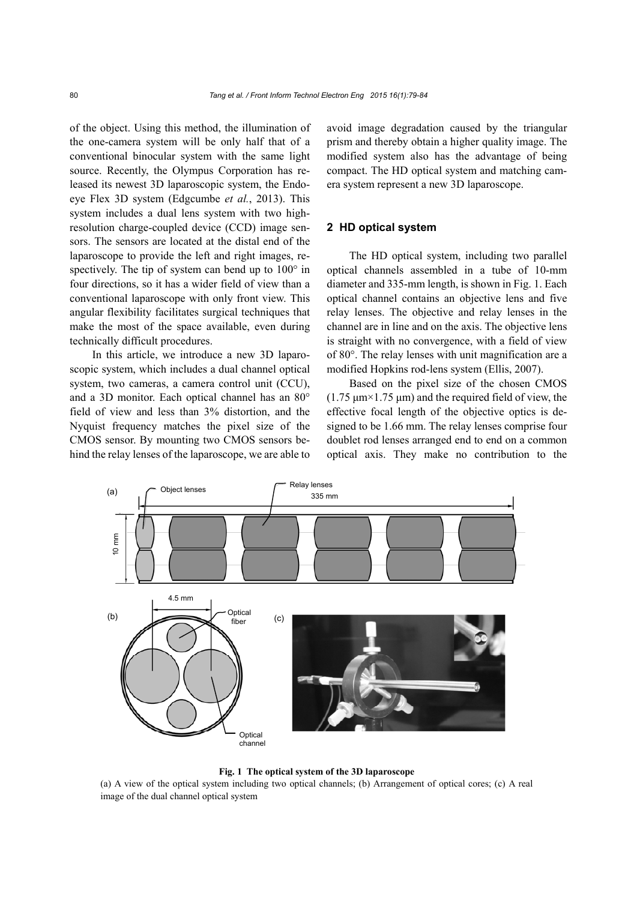of the object. Using this method, the illumination of the one-camera system will be only half that of a conventional binocular system with the same light source. Recently, the Olympus Corporation has released its newest 3D laparoscopic system, the Endoeye Flex 3D system (Edgcumbe *et al.*, 2013). This system includes a dual lens system with two highresolution charge-coupled device (CCD) image sensors. The sensors are located at the distal end of the laparoscope to provide the left and right images, respectively. The tip of system can bend up to 100° in four directions, so it has a wider field of view than a conventional laparoscope with only front view. This angular flexibility facilitates surgical techniques that make the most of the space available, even during technically difficult procedures.

In this article, we introduce a new 3D laparoscopic system, which includes a dual channel optical system, two cameras, a camera control unit (CCU), and a 3D monitor. Each optical channel has an 80° field of view and less than 3% distortion, and the Nyquist frequency matches the pixel size of the CMOS sensor. By mounting two CMOS sensors behind the relay lenses of the laparoscope, we are able to

avoid image degradation caused by the triangular prism and thereby obtain a higher quality image. The modified system also has the advantage of being compact. The HD optical system and matching camera system represent a new 3D laparoscope.

# **2 HD optical system**

The HD optical system, including two parallel optical channels assembled in a tube of 10-mm diameter and 335-mm length, is shown in Fig. 1. Each optical channel contains an objective lens and five relay lenses. The objective and relay lenses in the channel are in line and on the axis. The objective lens is straight with no convergence, with a field of view of 80°. The relay lenses with unit magnification are a modified Hopkins rod-lens system (Ellis, 2007).

Based on the pixel size of the chosen CMOS  $(1.75 \mu m \times 1.75 \mu m)$  and the required field of view, the effective focal length of the objective optics is designed to be 1.66 mm. The relay lenses comprise four doublet rod lenses arranged end to end on a common optical axis. They make no contribution to the





(a) A view of the optical system including two optical channels; (b) Arrangement of optical cores; (c) A real image of the dual channel optical system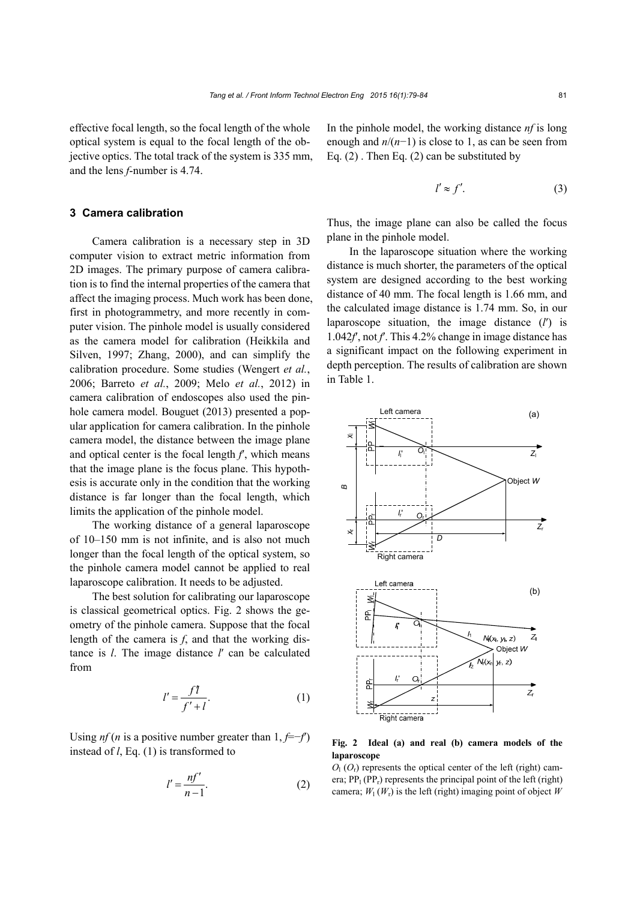effective focal length, so the focal length of the whole optical system is equal to the focal length of the objective optics. The total track of the system is 335 mm, and the lens *f*-number is 4.74.

# **3 Camera calibration**

Camera calibration is a necessary step in 3D computer vision to extract metric information from 2D images. The primary purpose of camera calibration is to find the internal properties of the camera that affect the imaging process. Much work has been done, first in photogrammetry, and more recently in computer vision. The pinhole model is usually considered as the camera model for calibration (Heikkila and Silven, 1997; Zhang, 2000), and can simplify the calibration procedure. Some studies (Wengert *et al.*, 2006; Barreto *et al.*, 2009; Melo *et al.*, 2012) in camera calibration of endoscopes also used the pinhole camera model. Bouguet (2013) presented a popular application for camera calibration. In the pinhole camera model, the distance between the image plane and optical center is the focal length *f*′, which means that the image plane is the focus plane. This hypothesis is accurate only in the condition that the working distance is far longer than the focal length, which limits the application of the pinhole model.

The working distance of a general laparoscope of 10–150 mm is not infinite, and is also not much longer than the focal length of the optical system, so the pinhole camera model cannot be applied to real laparoscope calibration. It needs to be adjusted.

The best solution for calibrating our laparoscope is classical geometrical optics. Fig. 2 shows the geometry of the pinhole camera. Suppose that the focal length of the camera is *f*, and that the working distance is *l*. The image distance *l*′ can be calculated from

$$
l' = \frac{fl}{f'+l}.\tag{1}
$$

Using *nf* (*n* is a positive number greater than  $1, f=f'$ ) instead of *l*, Eq. (1) is transformed to

$$
l' = \frac{nf'}{n-1}.
$$
 (2)

In the pinhole model, the working distance *nf* is long enough and *n*/(*n*−1) is close to 1, as can be seen from Eq. (2) . Then Eq. (2) can be substituted by

$$
l' \approx f'.\tag{3}
$$

Thus, the image plane can also be called the focus plane in the pinhole model.

In the laparoscope situation where the working distance is much shorter, the parameters of the optical system are designed according to the best working distance of 40 mm. The focal length is 1.66 mm, and the calculated image distance is 1.74 mm. So, in our laparoscope situation, the image distance (*l*′) is 1.042*f*′, not *f*′. This 4.2% change in image distance has a significant impact on the following experiment in depth perception. The results of calibration are shown in Table 1.



**Fig. 2 Ideal (a) and real (b) camera models of the laparoscope** 

 $O<sub>1</sub>(O<sub>r</sub>)$  represents the optical center of the left (right) camera;  $PP_1 (PP_r)$  represents the principal point of the left (right) camera;  $W_1(W_r)$  is the left (right) imaging point of object *W*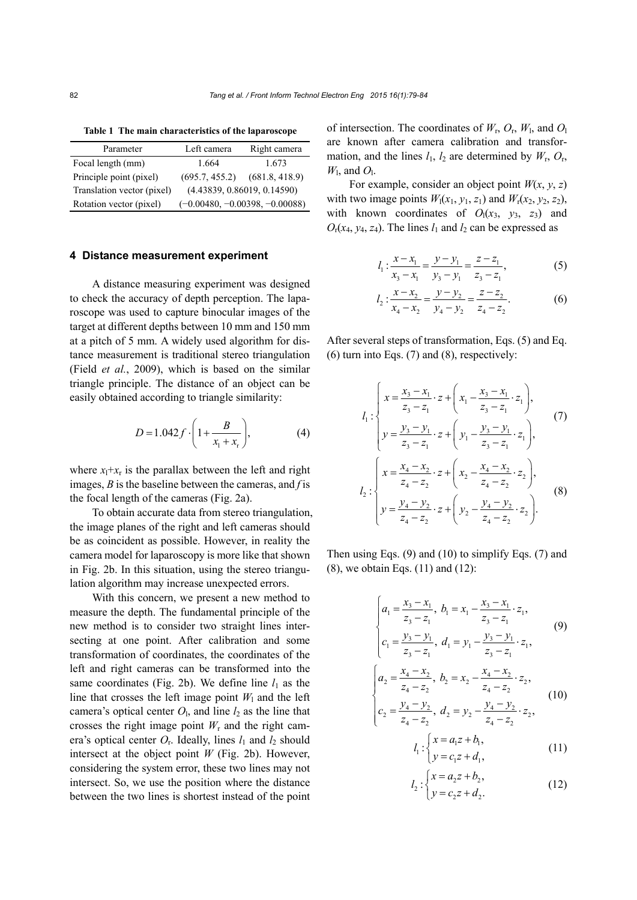**Table 1 The main characteristics of the laparoscope** 

| Parameter                  | Left camera                 | Right camera                     |
|----------------------------|-----------------------------|----------------------------------|
| Focal length (mm)          | 1.664                       | 1.673                            |
| Principle point (pixel)    | (695.7, 455.2)              | (681.8, 418.9)                   |
| Translation vector (pixel) | (4.43839, 0.86019, 0.14590) |                                  |
| Rotation vector (pixel)    |                             | $(-0.00480, -0.00398, -0.00088)$ |

#### **4 Distance measurement experiment**

A distance measuring experiment was designed to check the accuracy of depth perception. The laparoscope was used to capture binocular images of the target at different depths between 10 mm and 150 mm at a pitch of 5 mm. A widely used algorithm for distance measurement is traditional stereo triangulation (Field *et al.*, 2009), which is based on the similar triangle principle. The distance of an object can be easily obtained according to triangle similarity:

$$
D = 1.042 f \cdot \left(1 + \frac{B}{x_1 + x_1}\right),\tag{4}
$$

where  $x_1+x_r$  is the parallax between the left and right images, *B* is the baseline between the cameras, and *f* is the focal length of the cameras (Fig. 2a).

To obtain accurate data from stereo triangulation, the image planes of the right and left cameras should be as coincident as possible. However, in reality the camera model for laparoscopy is more like that shown in Fig. 2b. In this situation, using the stereo triangulation algorithm may increase unexpected errors.

With this concern, we present a new method to measure the depth. The fundamental principle of the new method is to consider two straight lines intersecting at one point. After calibration and some transformation of coordinates, the coordinates of the left and right cameras can be transformed into the same coordinates (Fig. 2b). We define line  $l_1$  as the line that crosses the left image point  $W_1$  and the left camera's optical center  $O<sub>l</sub>$ , and line  $l<sub>2</sub>$  as the line that crosses the right image point  $W_r$  and the right camera's optical center  $O_r$ . Ideally, lines  $l_1$  and  $l_2$  should intersect at the object point  $W$  (Fig. 2b). However, considering the system error, these two lines may not intersect. So, we use the position where the distance between the two lines is shortest instead of the point of intersection. The coordinates of  $W_r$ ,  $O_r$ ,  $W_l$ , and  $O_l$ are known after camera calibration and transformation, and the lines  $l_1$ ,  $l_2$  are determined by  $W_r$ ,  $O_r$ ,  $W<sub>1</sub>$ , and  $O<sub>1</sub>$ .

For example, consider an object point  $W(x, y, z)$ with two image points  $W_1(x_1, y_1, z_1)$  and  $W_r(x_2, y_2, z_2)$ , with known coordinates of  $O_1(x_3, y_3, z_3)$  and  $O_r(x_4, y_4, z_4)$ . The lines  $l_1$  and  $l_2$  can be expressed as

$$
l_1: \frac{x - x_1}{x_3 - x_1} = \frac{y - y_1}{y_3 - y_1} = \frac{z - z_1}{z_3 - z_1},
$$
 (5)

$$
l_2: \frac{x - x_2}{x_4 - x_2} = \frac{y - y_2}{y_4 - y_2} = \frac{z - z_2}{z_4 - z_2}.
$$
 (6)

After several steps of transformation, Eqs. (5) and Eq. (6) turn into Eqs. (7) and (8), respectively:

$$
l_{1} : \begin{cases} x = \frac{x_{3} - x_{1}}{z_{3} - z_{1}} \cdot z + \left(x_{1} - \frac{x_{3} - x_{1}}{z_{3} - z_{1}} \cdot z_{1}\right), \\ y = \frac{y_{3} - y_{1}}{z_{3} - z_{1}} \cdot z + \left(y_{1} - \frac{y_{3} - y_{1}}{z_{3} - z_{1}} \cdot z_{1}\right), \end{cases}
$$
(7)  

$$
l_{2} : \begin{cases} x = \frac{x_{4} - x_{2}}{z_{4} - z_{2}} \cdot z + \left(x_{2} - \frac{x_{4} - x_{2}}{z_{4} - z_{2}} \cdot z_{2}\right), \\ y = \frac{y_{4} - y_{2}}{z_{4} - z_{2}} \cdot z + \left(y_{2} - \frac{y_{4} - y_{2}}{z_{4} - z_{2}} \cdot z_{2}\right). \end{cases}
$$
(8)

Then using Eqs. (9) and (10) to simplify Eqs. (7) and (8), we obtain Eqs. (11) and (12):

$$
\begin{cases}\na_1 = \frac{x_3 - x_1}{z_3 - z_1}, b_1 = x_1 - \frac{x_3 - x_1}{z_3 - z_1} \cdot z_1, \\
c_1 = \frac{y_3 - y_1}{z_3 - z_1}, d_1 = y_1 - \frac{y_3 - y_1}{z_3 - z_1} \cdot z_1, \\
a_2 = \frac{x_4 - x_2}{z_4 - z_2}, b_2 = x_2 - \frac{x_4 - x_2}{z_4 - z_2} \cdot z_2, \\
c_2 = \frac{y_4 - y_2}{z_4 - z_2}, d_2 = y_2 - \frac{y_4 - y_2}{z_4 - z_2} \cdot z_2, \\
l_1: \begin{cases}\nx = a_1 z + b_1, \\
y = c_1 z + d_1,\n\end{cases}\n\end{cases}
$$
\n(11)

$$
l_2: \begin{cases} x = a_2 z + b_2, \\ y = c_2 z + d_2. \end{cases}
$$
 (12)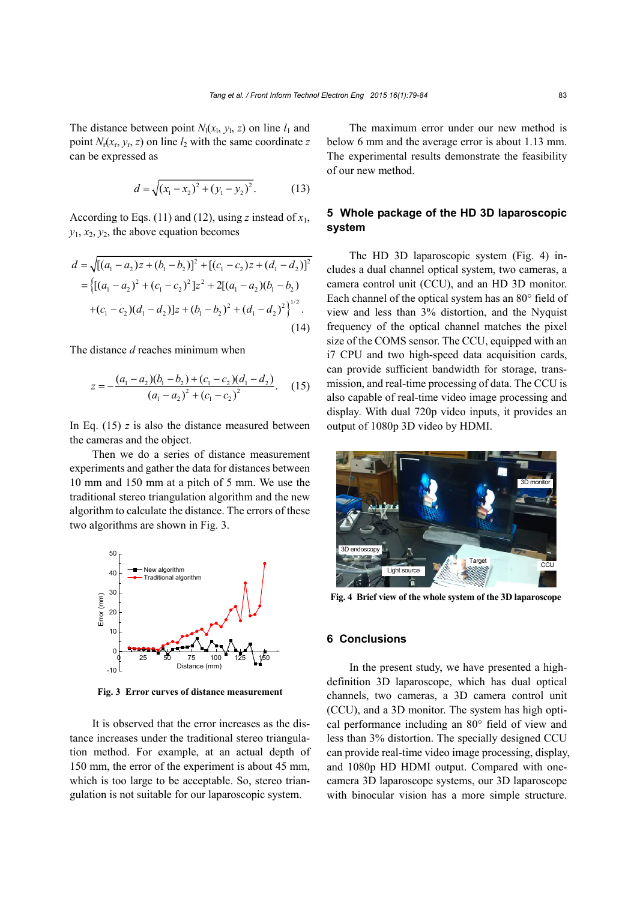The distance between point  $N_1(x_1, y_1, z)$  on line  $l_1$  and point  $N_r(x_r, y_r, z)$  on line  $l_2$  with the same coordinate *z* can be expressed as

$$
d = \sqrt{(x_1 - x_2)^2 + (y_1 - y_2)^2}.
$$
 (13)

According to Eqs. (11) and (12), using *z* instead of  $x_1$ ,  $y_1, x_2, y_2$ , the above equation becomes

$$
d = \sqrt{[(a_1 - a_2)z + (b_1 - b_2)]^2 + [(c_1 - c_2)z + (d_1 - d_2)]^2}
$$
  
= 
$$
\{[(a_1 - a_2)^2 + (c_1 - c_2)^2]z^2 + 2[(a_1 - a_2)(b_1 - b_2) + (c_1 - c_2)(d_1 - d_2)]z + (b_1 - b_2)^2 + (d_1 - d_2)^2\}^{1/2}.
$$
  
(14)

The distance *d* reaches minimum when

$$
z = -\frac{(a_1 - a_2)(b_1 - b_2) + (c_1 - c_2)(d_1 - d_2)}{(a_1 - a_2)^2 + (c_1 - c_2)^2}.
$$
 (15)

In Eq.  $(15)$  *z* is also the distance measured between the cameras and the object.

Then we do a series of distance measurement experiments and gather the data for distances between 10 mm and 150 mm at a pitch of 5 mm. We use the traditional stereo triangulation algorithm and the new algorithm to calculate the distance. The errors of these two algorithms are shown in Fig. 3.



**Fig. 3 Error curves of distance measurement**

It is observed that the error increases as the distance increases under the traditional stereo triangulation method. For example, at an actual depth of 150 mm, the error of the experiment is about 45 mm, which is too large to be acceptable. So, stereo triangulation is not suitable for our laparoscopic system.

The maximum error under our new method is below 6 mm and the average error is about 1.13 mm. The experimental results demonstrate the feasibility of our new method.

# **5 Whole package of the HD 3D laparoscopic system**

The HD 3D laparoscopic system (Fig. 4) includes a dual channel optical system, two cameras, a camera control unit (CCU), and an HD 3D monitor. Each channel of the optical system has an 80° field of view and less than 3% distortion, and the Nyquist frequency of the optical channel matches the pixel size of the COMS sensor. The CCU, equipped with an i7 CPU and two high-speed data acquisition cards, can provide sufficient bandwidth for storage, transmission, and real-time processing of data. The CCU is also capable of real-time video image processing and display. With dual 720p video inputs, it provides an output of 1080p 3D video by HDMI.



**Fig. 4 Brief view of the whole system of the 3D laparoscope**

# **6 Conclusions**

In the present study, we have presented a highdefinition 3D laparoscope, which has dual optical channels, two cameras, a 3D camera control unit (CCU), and a 3D monitor. The system has high optical performance including an 80° field of view and less than 3% distortion. The specially designed CCU can provide real-time video image processing, display, and 1080p HD HDMI output. Compared with onecamera 3D laparoscope systems, our 3D laparoscope with binocular vision has a more simple structure.